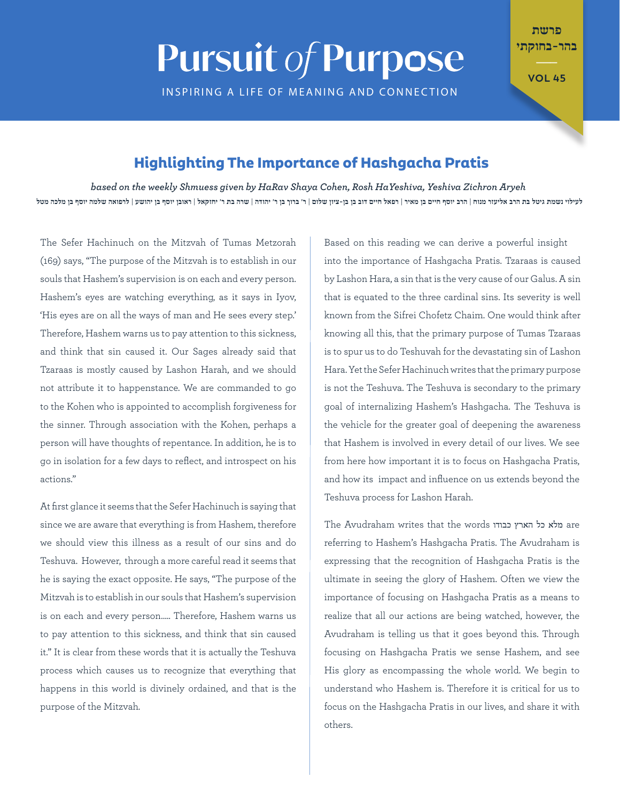## **Pursuit of Purpose**

INSPIRING A LIFE OF MEANING AND CONNECTION

\_\_\_ בהר-בחוקתי

פרשת

**45 VOL**

## **Highlighting The Importance of Hashgacha Pratis**

*Aryeh Zichron Yeshiva ,HaYeshiva Rosh ,Cohen Shaya HaRav by given Shmuess weekly the on based* לעילוי נשמת גיטל בת הרב אליעזר מנוח | הרב יוסף חיים בן מאיר | רפאל חיים דוב בן בן בן מאיר דוב בן ר' יהודה | שרה בת ר' יחזקאל | ראובן יוסף בן יהושע | לרפואה שלמה יוסף בן מלכה מטל

The Sefer Hachinuch on the Mitzvah of Tumas Metzorah (169) says, "The purpose of the Mitzvah is to establish in our souls that Hashem's supervision is on each and every person. Hashem's eyes are watching everything, as it says in Iyov, 'His eyes are on all the ways of man and He sees every step.' Therefore, Hashem warns us to pay attention to this sickness, and think that sin caused it. Our Sages already said that Tzaraas is mostly caused by Lashon Harah, and we should not attribute it to happenstance. We are commanded to go to the Kohen who is appointed to accomplish forgiveness for the sinner. Through association with the Kohen, perhaps a person will have thoughts of repentance. In addition, he is to go in isolation for a few days to reflect, and introspect on his ".actions

At first glance it seems that the Sefer Hachinuch is saying that since we are aware that everything is from Hashem, therefore we should view this illness as a result of our sins and do Teshuva. However, through a more careful read it seems that he is saying the exact opposite. He says, "The purpose of the Mitzvah is to establish in our souls that Hashem's supervision is on each and every person ..... Therefore, Hashem warns us to pay attention to this sickness, and think that sin caused it." It is clear from these words that it is actually the Teshuva process which causes us to recognize that everything that happens in this world is divinely ordained, and that is the purpose of the Mitzvah.

Based on this reading we can derive a powerful insight into the importance of Hashgacha Pratis. Tzaraas is caused by Lashon Hara, a sin that is the very cause of our Galus. A sin that is equated to the three cardinal sins. Its severity is well known from the Sifrei Chofetz Chaim. One would think after knowing all this, that the primary purpose of Tumas Tzaraas is to spur us to do Teshuvah for the devastating sin of Lashon Hara. Yet the Sefer Hachinuch writes that the primary purpose is not the Teshuva. The Teshuva is secondary to the primary goal of internalizing Hashem's Hashgacha. The Teshuva is the vehicle for the greater goal of deepening the awareness that Hashem is involved in every detail of our lives. We see from here how important it is to focus on Hashgacha Pratis, and how its impact and influence on us extends beyond the Teshuva process for Lashon Harah.

The Avudraham writes that the words מלא כל הארץ כבודו referring to Hashem's Hashgacha Pratis. The Avudraham is expressing that the recognition of Hashgacha Pratis is the ultimate in seeing the glory of Hashem. Often we view the importance of focusing on Hashgacha Pratis as a means to realize that all our actions are being watched, however, the Avudraham is telling us that it goes beyond this. Through focusing on Hashgacha Pratis we sense Hashem, and see His alory as encompassing the whole world. We begin to understand who Hashem is. Therefore it is critical for us to focus on the Hashgacha Pratis in our lives, and share it with .others